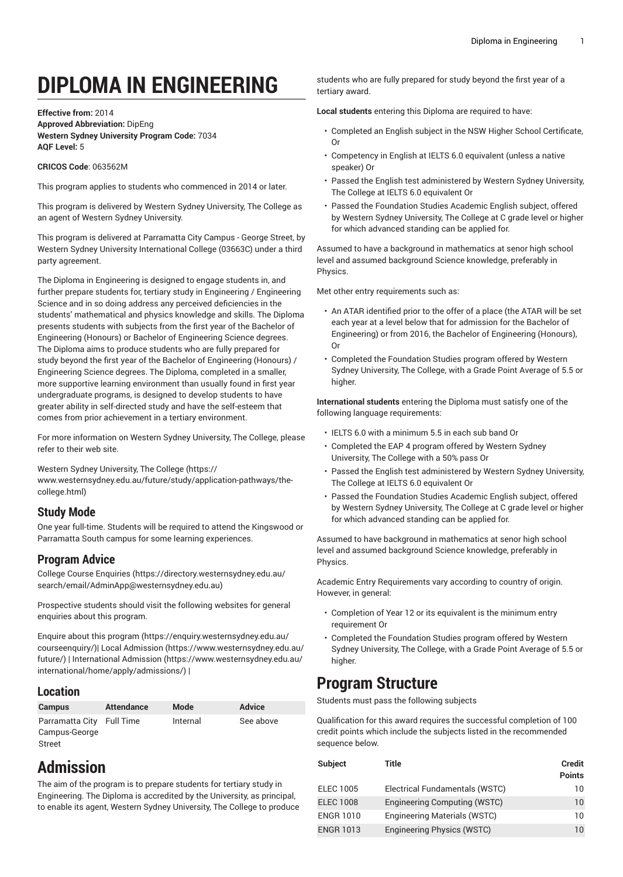# **DIPLOMA IN ENGINEERING**

#### **Effective from:** 2014 **Approved Abbreviation:** DipEng **Western Sydney University Program Code:** 7034 **AQF Level:** 5

#### **CRICOS Code**: 063562M

This program applies to students who commenced in 2014 or later.

This program is delivered by Western Sydney University, The College as an agent of Western Sydney University.

This program is delivered at Parramatta City Campus - George Street, by Western Sydney University International College (03663C) under a third party agreement.

The Diploma in Engineering is designed to engage students in, and further prepare students for, tertiary study in Engineering / Engineering Science and in so doing address any perceived deficiencies in the students' mathematical and physics knowledge and skills. The Diploma presents students with subjects from the first year of the Bachelor of Engineering (Honours) or Bachelor of Engineering Science degrees. The Diploma aims to produce students who are fully prepared for study beyond the first year of the Bachelor of Engineering (Honours) / Engineering Science degrees. The Diploma, completed in a smaller, more supportive learning environment than usually found in first year undergraduate programs, is designed to develop students to have greater ability in self-directed study and have the self-esteem that comes from prior achievement in a tertiary environment.

For more information on Western Sydney University, The College, please refer to their web site.

Western Sydney [University,](https://www.westernsydney.edu.au/future/study/application-pathways/the-college.html) The College [\(https://](https://www.westernsydney.edu.au/future/study/application-pathways/the-college.html) [www.westernsydney.edu.au/future/study/application-pathways/the](https://www.westernsydney.edu.au/future/study/application-pathways/the-college.html)[college.html](https://www.westernsydney.edu.au/future/study/application-pathways/the-college.html))

#### **Study Mode**

One year full-time. Students will be required to attend the Kingswood or Parramatta South campus for some learning experiences.

## **Program Advice**

[College Course Enquiries](https://directory.westernsydney.edu.au/search/email/AdminApp@westernsydney.edu.au) ([https://directory.westernsydney.edu.au/](https://directory.westernsydney.edu.au/search/email/AdminApp@westernsydney.edu.au) [search/email/AdminApp@westernsydney.edu.au](https://directory.westernsydney.edu.au/search/email/AdminApp@westernsydney.edu.au))

Prospective students should visit the following websites for general enquiries about this program.

Enquire about this [program \(https://enquiry.westernsydney.edu.au/](https://enquiry.westernsydney.edu.au/courseenquiry/) [courseenquiry/](https://enquiry.westernsydney.edu.au/courseenquiry/))| [Local Admission \(https://www.westernsydney.edu.au/](https://www.westernsydney.edu.au/future/) [future/\)](https://www.westernsydney.edu.au/future/) | [International Admission](https://www.westernsydney.edu.au/international/home/apply/admissions/) ([https://www.westernsydney.edu.au/](https://www.westernsydney.edu.au/international/home/apply/admissions/) [international/home/apply/admissions/](https://www.westernsydney.edu.au/international/home/apply/admissions/)) |

### **Location**

| <b>Campus</b>             | <b>Attendance</b> | Mode     | <b>Advice</b> |
|---------------------------|-------------------|----------|---------------|
| Parramatta City Full Time |                   | Internal | See above     |
| Campus-George             |                   |          |               |
| Street                    |                   |          |               |

# **Admission**

The aim of the program is to prepare students for tertiary study in Engineering. The Diploma is accredited by the University, as principal, to enable its agent, Western Sydney University, The College to produce students who are fully prepared for study beyond the first year of a tertiary award.

**Local students** entering this Diploma are required to have:

- Completed an English subject in the NSW Higher School Certificate, Or
- Competency in English at IELTS 6.0 equivalent (unless a native speaker) Or
- Passed the English test administered by Western Sydney University, The College at IELTS 6.0 equivalent Or
- Passed the Foundation Studies Academic English subject, offered by Western Sydney University, The College at C grade level or higher for which advanced standing can be applied for.

Assumed to have a background in mathematics at senor high school level and assumed background Science knowledge, preferably in Physics.

Met other entry requirements such as:

- An ATAR identified prior to the offer of a place (the ATAR will be set each year at a level below that for admission for the Bachelor of Engineering) or from 2016, the Bachelor of Engineering (Honours), Or
- Completed the Foundation Studies program offered by Western Sydney University, The College, with a Grade Point Average of 5.5 or higher.

**International students** entering the Diploma must satisfy one of the following language requirements:

- IELTS 6.0 with a minimum 5.5 in each sub band Or
- Completed the EAP 4 program offered by Western Sydney University, The College with a 50% pass Or
- Passed the English test administered by Western Sydney University, The College at IELTS 6.0 equivalent Or
- Passed the Foundation Studies Academic English subject, offered by Western Sydney University, The College at C grade level or higher for which advanced standing can be applied for.

Assumed to have background in mathematics at senor high school level and assumed background Science knowledge, preferably in Physics.

Academic Entry Requirements vary according to country of origin. However, in general:

- Completion of Year 12 or its equivalent is the minimum entry requirement Or
- Completed the Foundation Studies program offered by Western Sydney University, The College, with a Grade Point Average of 5.5 or higher.

## **Program Structure**

Students must pass the following subjects

Qualification for this award requires the successful completion of 100 credit points which include the subjects listed in the recommended sequence below.

| <b>Subject</b>   | Title                          | <b>Credit</b><br><b>Points</b> |
|------------------|--------------------------------|--------------------------------|
| <b>ELEC 1005</b> | Electrical Fundamentals (WSTC) | 10                             |
| <b>ELEC 1008</b> | Engineering Computing (WSTC)   | $10^{\circ}$                   |
| <b>ENGR 1010</b> | Engineering Materials (WSTC)   | 10                             |
| <b>ENGR 1013</b> | Engineering Physics (WSTC)     | 10                             |